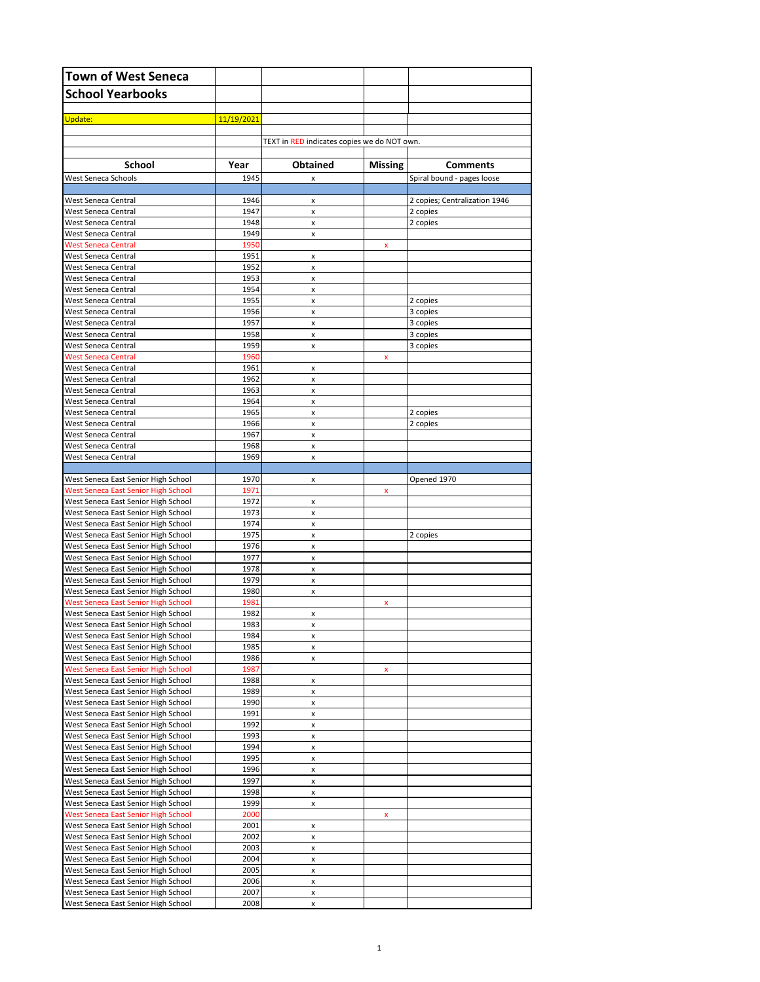| <b>Town of West Seneca</b>                                                        |              |                                             |         |                               |
|-----------------------------------------------------------------------------------|--------------|---------------------------------------------|---------|-------------------------------|
| <b>School Yearbooks</b>                                                           |              |                                             |         |                               |
| Update:                                                                           | 11/19/2021   |                                             |         |                               |
|                                                                                   |              |                                             |         |                               |
|                                                                                   |              | TEXT in RED indicates copies we do NOT own. |         |                               |
| <b>School</b>                                                                     | Year         | <b>Obtained</b>                             | Missing | <b>Comments</b>               |
| West Seneca Schools                                                               | 1945         | x                                           |         | Spiral bound - pages loose    |
| West Seneca Central                                                               | 1946         | x                                           |         | 2 copies; Centralization 1946 |
| West Seneca Central                                                               | 1947         | x                                           |         | 2 copies                      |
| West Seneca Central                                                               | 1948         | x                                           |         | 2 copies                      |
| West Seneca Central<br><b>West Seneca Central</b>                                 | 1949<br>1950 | x                                           | x       |                               |
| West Seneca Central                                                               | 1951         | x                                           |         |                               |
| West Seneca Central<br>West Seneca Central                                        | 1952<br>1953 | x<br>x                                      |         |                               |
| West Seneca Central                                                               | 1954         | x                                           |         |                               |
| West Seneca Central                                                               | 1955         | x                                           |         | 2 copies                      |
| West Seneca Central<br>West Seneca Central                                        | 1956<br>1957 | x<br>x                                      |         | 3 copies                      |
| West Seneca Central                                                               | 1958         | x                                           |         | 3 copies<br>3 copies          |
| West Seneca Central                                                               | 1959         | x                                           |         | 3 copies                      |
| <b>West Seneca Central</b><br>West Seneca Central                                 | 1960<br>1961 |                                             | x       |                               |
| West Seneca Central                                                               | 1962         | x<br>x                                      |         |                               |
| West Seneca Central                                                               | 1963         | x                                           |         |                               |
| West Seneca Central<br>West Seneca Central                                        | 1964<br>1965 | x                                           |         |                               |
| West Seneca Central                                                               | 1966         | x<br>x                                      |         | 2 copies<br>2 copies          |
| West Seneca Central                                                               | 1967         | x                                           |         |                               |
| West Seneca Central<br>West Seneca Central                                        | 1968<br>1969 | x                                           |         |                               |
|                                                                                   |              | x                                           |         |                               |
| West Seneca East Senior High School                                               | 1970         | x                                           |         | Opened 1970                   |
| <b>West Seneca East Senior High School</b><br>West Seneca East Senior High School | 1971<br>1972 | x                                           | x       |                               |
| West Seneca East Senior High School                                               | 1973         | x                                           |         |                               |
| West Seneca East Senior High School                                               | 1974         | x                                           |         |                               |
| West Seneca East Senior High School<br>West Seneca East Senior High School        | 1975<br>1976 | x<br>x                                      |         | 2 copies                      |
| West Seneca East Senior High School                                               | 1977         | x                                           |         |                               |
| West Seneca East Senior High School                                               | 1978         | x                                           |         |                               |
| West Seneca East Senior High School<br>West Seneca East Senior High School        | 1979<br>1980 | x<br>x                                      |         |                               |
| West Seneca East Senior High School                                               | 1981         |                                             | x       |                               |
| West Seneca East Senior High School                                               | 1982         | x                                           |         |                               |
| West Seneca East Senior High School<br>West Seneca East Senior High School        | 1983<br>1984 | x<br>x                                      |         |                               |
| West Seneca East Senior High School                                               | 1985         | x                                           |         |                               |
| West Seneca East Senior High School                                               | 1986         | x                                           |         |                               |
| West Seneca East Senior High School                                               | 1987<br>1988 | x                                           | x       |                               |
| West Seneca East Senior High School<br>West Seneca East Senior High School        | 1989         | x                                           |         |                               |
| West Seneca East Senior High School                                               | 1990         | x                                           |         |                               |
| West Seneca East Senior High School<br>West Seneca East Senior High School        | 1991<br>1992 | x<br>x                                      |         |                               |
| West Seneca East Senior High School                                               | 1993         | x                                           |         |                               |
| West Seneca East Senior High School                                               | 1994         | x                                           |         |                               |
| West Seneca East Senior High School<br>West Seneca East Senior High School        | 1995<br>1996 | x<br>x                                      |         |                               |
| West Seneca East Senior High School                                               | 1997         | x                                           |         |                               |
| West Seneca East Senior High School                                               | 1998         | x                                           |         |                               |
| West Seneca East Senior High School<br>West Seneca East Senior High School        | 1999<br>2000 | x                                           | x       |                               |
| West Seneca East Senior High School                                               | 2001         | x                                           |         |                               |
| West Seneca East Senior High School                                               | 2002         | x                                           |         |                               |
| West Seneca East Senior High School<br>West Seneca East Senior High School        | 2003<br>2004 | x<br>x                                      |         |                               |
| West Seneca East Senior High School                                               | 2005         | x                                           |         |                               |
| West Seneca East Senior High School                                               | 2006         | x                                           |         |                               |
| West Seneca East Senior High School                                               | 2007         | x                                           |         |                               |
| West Seneca East Senior High School                                               | 2008         | x                                           |         |                               |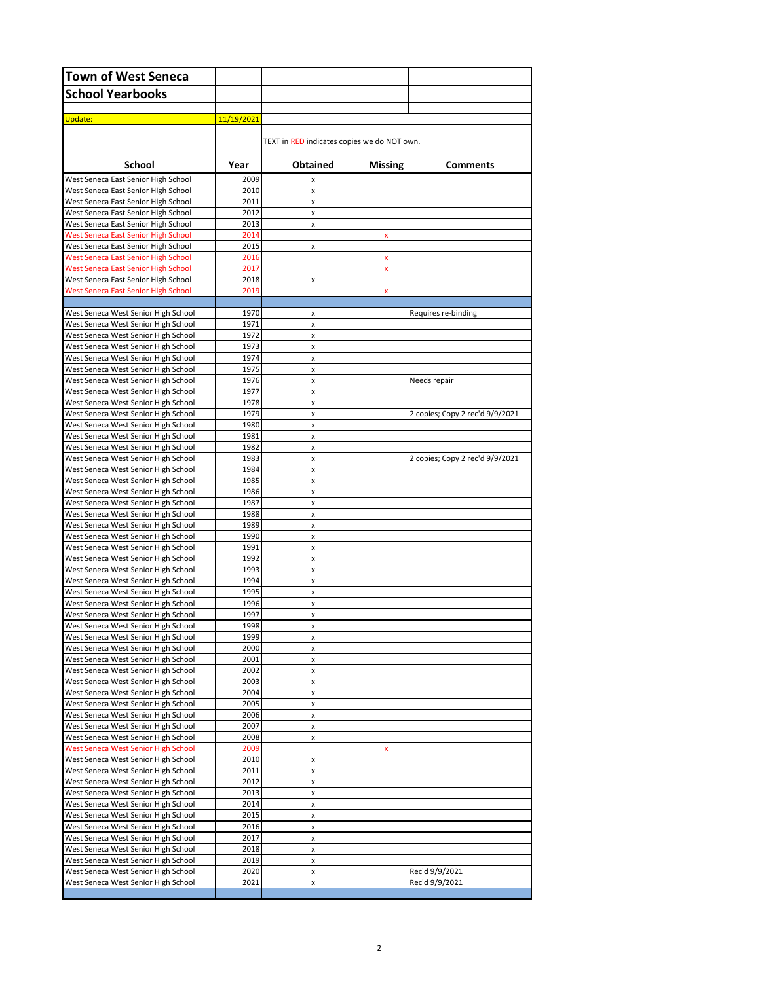| <b>Town of West Seneca</b>                                                 |              |                                             |                         |                                 |
|----------------------------------------------------------------------------|--------------|---------------------------------------------|-------------------------|---------------------------------|
| <b>School Yearbooks</b>                                                    |              |                                             |                         |                                 |
|                                                                            |              |                                             |                         |                                 |
| Update:                                                                    | 11/19/2021   |                                             |                         |                                 |
|                                                                            |              | TEXT in RED indicates copies we do NOT own. |                         |                                 |
|                                                                            |              |                                             |                         |                                 |
| School                                                                     | Year         | <b>Obtained</b>                             | <b>Missing</b>          | <b>Comments</b>                 |
| West Seneca East Senior High School                                        | 2009         | X                                           |                         |                                 |
| West Seneca East Senior High School<br>West Seneca East Senior High School | 2010<br>2011 | x<br>x                                      |                         |                                 |
| West Seneca East Senior High School                                        | 2012         | x                                           |                         |                                 |
| West Seneca East Senior High School                                        | 2013         | x                                           |                         |                                 |
| <b>West Seneca East Senior High School</b>                                 | 2014<br>2015 |                                             | X                       |                                 |
| West Seneca East Senior High School<br>West Seneca East Senior High School | 2016         | x                                           | X                       |                                 |
| West Seneca East Senior High School                                        | 2017         |                                             | $\overline{\mathbf{x}}$ |                                 |
| West Seneca East Senior High School                                        | 2018         | x                                           |                         |                                 |
| <b>West Seneca East Senior High School</b>                                 | 2019         |                                             | X                       |                                 |
| West Seneca West Senior High School                                        | 1970         | x                                           |                         | Requires re-binding             |
| West Seneca West Senior High School                                        | 1971         | x                                           |                         |                                 |
| West Seneca West Senior High School                                        | 1972         | x                                           |                         |                                 |
| West Seneca West Senior High School<br>West Seneca West Senior High School | 1973<br>1974 | x<br>x                                      |                         |                                 |
| West Seneca West Senior High School                                        | 1975         | x                                           |                         |                                 |
| West Seneca West Senior High School                                        | 1976         | x                                           |                         | Needs repair                    |
| West Seneca West Senior High School<br>West Seneca West Senior High School | 1977<br>1978 | x<br>x                                      |                         |                                 |
| West Seneca West Senior High School                                        | 1979         | x                                           |                         | 2 copies; Copy 2 rec'd 9/9/2021 |
| West Seneca West Senior High School                                        | 1980         | x                                           |                         |                                 |
| West Seneca West Senior High School                                        | 1981         | x                                           |                         |                                 |
| West Seneca West Senior High School<br>West Seneca West Senior High School | 1982<br>1983 | x<br>x                                      |                         | 2 copies; Copy 2 rec'd 9/9/2021 |
| West Seneca West Senior High School                                        | 1984         | x                                           |                         |                                 |
| West Seneca West Senior High School                                        | 1985         | x                                           |                         |                                 |
| West Seneca West Senior High School                                        | 1986         | x                                           |                         |                                 |
| West Seneca West Senior High School<br>West Seneca West Senior High School | 1987<br>1988 | x<br>x                                      |                         |                                 |
| West Seneca West Senior High School                                        | 1989         | x                                           |                         |                                 |
| West Seneca West Senior High School                                        | 1990         | x                                           |                         |                                 |
| West Seneca West Senior High School<br>West Seneca West Senior High School | 1991<br>1992 | x<br>x                                      |                         |                                 |
| West Seneca West Senior High School                                        | 1993         | x                                           |                         |                                 |
| West Seneca West Senior High School                                        | 1994         | x                                           |                         |                                 |
| West Seneca West Senior High School                                        | 1995         | x                                           |                         |                                 |
| West Seneca West Senior High School<br>West Seneca West Senior High School | 1996<br>1997 | x<br>x                                      |                         |                                 |
| West Seneca West Senior High School                                        | 1998         | x                                           |                         |                                 |
| West Seneca West Senior High School                                        | 1999         | x                                           |                         |                                 |
| West Seneca West Senior High School                                        | 2000         | x                                           |                         |                                 |
| West Seneca West Senior High School<br>West Seneca West Senior High School | 2001<br>2002 | x<br>x                                      |                         |                                 |
| West Seneca West Senior High School                                        | 2003         | x                                           |                         |                                 |
| West Seneca West Senior High School                                        | 2004         | x                                           |                         |                                 |
| West Seneca West Senior High School<br>West Seneca West Senior High School | 2005<br>2006 | x<br>x                                      |                         |                                 |
| West Seneca West Senior High School                                        | 2007         | x                                           |                         |                                 |
| West Seneca West Senior High School                                        | 2008         | x                                           |                         |                                 |
| <b>West Seneca West Senior High School</b>                                 | 2009         |                                             | x                       |                                 |
| West Seneca West Senior High School<br>West Seneca West Senior High School | 2010<br>2011 | x<br>x                                      |                         |                                 |
| West Seneca West Senior High School                                        | 2012         | x                                           |                         |                                 |
| West Seneca West Senior High School                                        | 2013         | x                                           |                         |                                 |
| West Seneca West Senior High School<br>West Seneca West Senior High School | 2014<br>2015 | x                                           |                         |                                 |
| West Seneca West Senior High School                                        | 2016         | x<br>x                                      |                         |                                 |
| West Seneca West Senior High School                                        | 2017         | x                                           |                         |                                 |
| West Seneca West Senior High School                                        | 2018         | x                                           |                         |                                 |
| West Seneca West Senior High School<br>West Seneca West Senior High School | 2019<br>2020 | x<br>x                                      |                         | Rec'd 9/9/2021                  |
| West Seneca West Senior High School                                        | 2021         | x                                           |                         | Rec'd 9/9/2021                  |
|                                                                            |              |                                             |                         |                                 |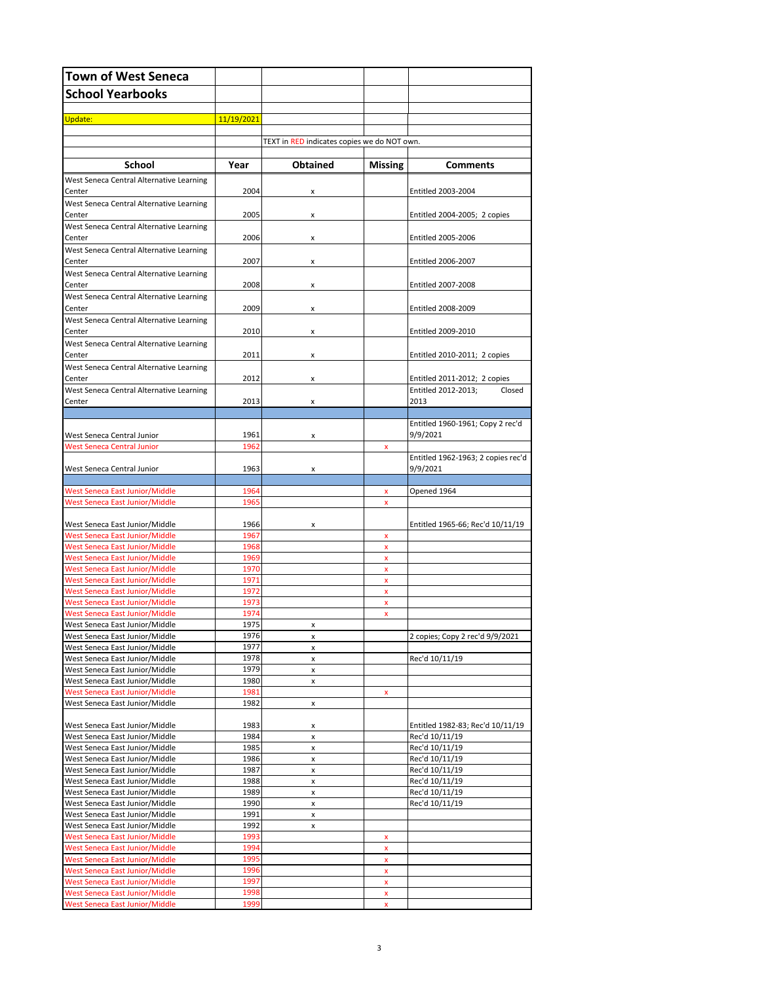| <b>Town of West Seneca</b>                                                     |              |                                             |                    |                                                |
|--------------------------------------------------------------------------------|--------------|---------------------------------------------|--------------------|------------------------------------------------|
| <b>School Yearbooks</b>                                                        |              |                                             |                    |                                                |
|                                                                                |              |                                             |                    |                                                |
| Update:                                                                        | 11/19/2021   |                                             |                    |                                                |
|                                                                                |              | TEXT in RED indicates copies we do NOT own. |                    |                                                |
|                                                                                |              |                                             |                    |                                                |
| <b>School</b>                                                                  | Year         | <b>Obtained</b>                             | <b>Missing</b>     | <b>Comments</b>                                |
| West Seneca Central Alternative Learning<br>Center                             | 2004         | X                                           |                    | Entitled 2003-2004                             |
| West Seneca Central Alternative Learning<br>Center                             | 2005         | x                                           |                    | Entitled 2004-2005; 2 copies                   |
| West Seneca Central Alternative Learning<br>Center                             | 2006         | x                                           |                    | Entitled 2005-2006                             |
| West Seneca Central Alternative Learning<br>Center                             | 2007         | x                                           |                    | Entitled 2006-2007                             |
| West Seneca Central Alternative Learning<br>Center                             | 2008         | x                                           |                    | Entitled 2007-2008                             |
| West Seneca Central Alternative Learning                                       |              |                                             |                    |                                                |
| Center                                                                         | 2009         | x                                           |                    | Entitled 2008-2009                             |
| West Seneca Central Alternative Learning<br>Center                             | 2010         | x                                           |                    | Entitled 2009-2010                             |
| West Seneca Central Alternative Learning<br>Center                             |              |                                             |                    |                                                |
| West Seneca Central Alternative Learning                                       | 2011         | x                                           |                    | Entitled 2010-2011; 2 copies                   |
| Center                                                                         | 2012         | x                                           |                    | Entitled 2011-2012; 2 copies                   |
| West Seneca Central Alternative Learning<br>Center                             | 2013         | x                                           |                    | Entitled 2012-2013:<br>Closed<br>2013          |
|                                                                                |              |                                             |                    |                                                |
| West Seneca Central Junior                                                     | 1961         | x                                           |                    | Entitled 1960-1961; Copy 2 rec'd<br>9/9/2021   |
| <b>West Seneca Central Junior</b>                                              | 1962         |                                             | x                  |                                                |
| West Seneca Central Junior                                                     | 1963         | X                                           |                    | Entitled 1962-1963; 2 copies rec'd<br>9/9/2021 |
|                                                                                |              |                                             |                    |                                                |
| West Seneca East Junior/Middle                                                 | 1964         |                                             | x                  | Opened 1964                                    |
| West Seneca East Junior/Middle                                                 | 1965         |                                             | x                  |                                                |
| West Seneca East Junior/Middle                                                 | 1966         | x                                           |                    | Entitled 1965-66; Rec'd 10/11/19               |
| West Seneca East Junior/Middle                                                 | 1967<br>1968 |                                             | x                  |                                                |
| <b>West Seneca East Junior/Middle</b><br><b>West Seneca East Junior/Middle</b> | 1969         |                                             | x<br>x             |                                                |
| <b>West Seneca East Junior/Middle</b>                                          | 1970         |                                             | $\pmb{\mathsf{x}}$ |                                                |
| <b>West Seneca East Junior/Middle</b>                                          | 1971         |                                             | x                  |                                                |
| <b>West Seneca East Junior/Middle</b>                                          | 1972         |                                             | $\pmb{\mathsf{x}}$ |                                                |
| <b>West Seneca East Junior/Middle</b>                                          | 1973         |                                             | x                  |                                                |
| West Seneca East Junior/Middle                                                 | 1974         |                                             | x                  |                                                |
| West Seneca East Junior/Middle<br>West Seneca East Junior/Middle               | 1975<br>1976 | x<br>x                                      |                    | 2 copies; Copy 2 rec'd 9/9/2021                |
| West Seneca East Junior/Middle                                                 | 1977         | x                                           |                    |                                                |
| West Seneca East Junior/Middle                                                 | 1978         | x                                           |                    | Rec'd 10/11/19                                 |
| West Seneca East Junior/Middle                                                 | 1979         | x                                           |                    |                                                |
| West Seneca East Junior/Middle                                                 | 1980         | x                                           |                    |                                                |
| West Seneca East Junior/Middle                                                 | 1981         |                                             | x                  |                                                |
| West Seneca East Junior/Middle                                                 | 1982         | x                                           |                    |                                                |
| West Seneca East Junior/Middle                                                 | 1983         | x                                           |                    | Entitled 1982-83; Rec'd 10/11/19               |
| West Seneca East Junior/Middle                                                 | 1984         | x                                           |                    | Rec'd 10/11/19                                 |
| West Seneca East Junior/Middle                                                 | 1985         | x                                           |                    | Rec'd 10/11/19                                 |
| West Seneca East Junior/Middle                                                 | 1986         | x                                           |                    | Rec'd 10/11/19                                 |
| West Seneca East Junior/Middle<br>West Seneca East Junior/Middle               | 1987<br>1988 | x<br>x                                      |                    | Rec'd 10/11/19<br>Rec'd 10/11/19               |
| West Seneca East Junior/Middle                                                 | 1989         | x                                           |                    | Rec'd 10/11/19                                 |
| West Seneca East Junior/Middle                                                 | 1990         | x                                           |                    | Rec'd 10/11/19                                 |
| West Seneca East Junior/Middle                                                 | 1991         | x                                           |                    |                                                |
| West Seneca East Junior/Middle                                                 | 1992         | x                                           |                    |                                                |
| West Seneca East Junior/Middle                                                 | 1993         |                                             | x                  |                                                |
| West Seneca East Junior/Middle                                                 | 1994         |                                             | x                  |                                                |
| West Seneca East Junior/Middle<br>West Seneca East Junior/Middle               | 1995<br>1996 |                                             | x<br>x             |                                                |
| West Seneca East Junior/Middle                                                 | 1997         |                                             | $\pmb{\mathsf{x}}$ |                                                |
| West Seneca East Junior/Middle                                                 | 1998         |                                             | x                  |                                                |
| <b>West Seneca East Junior/Middle</b>                                          | 1999         |                                             | $\pmb{\mathsf{x}}$ |                                                |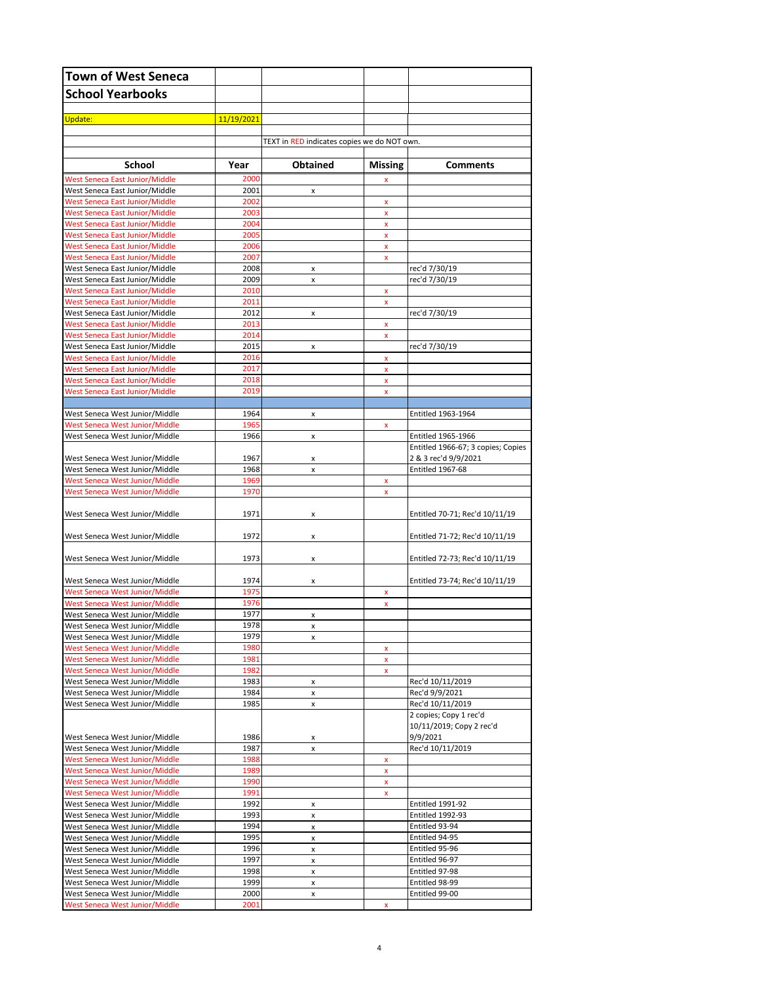| <b>Town of West Seneca</b>                                              |              |                                             |                         |                                                          |
|-------------------------------------------------------------------------|--------------|---------------------------------------------|-------------------------|----------------------------------------------------------|
| <b>School Yearbooks</b>                                                 |              |                                             |                         |                                                          |
|                                                                         |              |                                             |                         |                                                          |
| Update:                                                                 | 11/19/2021   |                                             |                         |                                                          |
|                                                                         |              | TEXT in RED indicates copies we do NOT own. |                         |                                                          |
|                                                                         |              |                                             |                         |                                                          |
| School                                                                  | Year         | <b>Obtained</b>                             | Missing                 | <b>Comments</b>                                          |
| West Seneca East Junior/Middle                                          | 2000         |                                             | x                       |                                                          |
| West Seneca East Junior/Middle<br><b>West Seneca East Junior/Middle</b> | 2001<br>2002 | x                                           |                         |                                                          |
| West Seneca East Junior/Middle                                          | 2003         |                                             | x<br>x                  |                                                          |
| <b>West Seneca East Junior/Middle</b>                                   | 2004         |                                             | $\pmb{\mathsf{x}}$      |                                                          |
| <b>West Seneca East Junior/Middle</b>                                   | 2005         |                                             | x                       |                                                          |
| <b>West Seneca East Junior/Middle</b>                                   | 2006         |                                             | $\pmb{\mathsf{x}}$      |                                                          |
| <b>West Seneca East Junior/Middle</b>                                   | 2007         |                                             | x                       |                                                          |
| West Seneca East Junior/Middle                                          | 2008<br>2009 | x                                           |                         | rec'd 7/30/19                                            |
| West Seneca East Junior/Middle<br><b>West Seneca East Junior/Middle</b> | 2010         | x                                           | x                       | rec'd 7/30/19                                            |
| West Seneca East Junior/Middle                                          | 2011         |                                             | x                       |                                                          |
| West Seneca East Junior/Middle                                          | 2012         | x                                           |                         | rec'd 7/30/19                                            |
| <b>West Seneca East Junior/Middle</b>                                   | 2013         |                                             | x                       |                                                          |
| <b>West Seneca East Junior/Middle</b>                                   | 2014         |                                             | $\pmb{\mathsf{x}}$      |                                                          |
| West Seneca East Junior/Middle                                          | 2015         | x                                           |                         | rec'd 7/30/19                                            |
| <b>West Seneca East Junior/Middle</b><br>West Seneca East Junior/Middle | 2016<br>2017 |                                             | x<br>x                  |                                                          |
| <b>West Seneca East Junior/Middle</b>                                   | 2018         |                                             | x                       |                                                          |
| <b>West Seneca East Junior/Middle</b>                                   | 2019         |                                             | x                       |                                                          |
|                                                                         |              |                                             |                         |                                                          |
| West Seneca West Junior/Middle                                          | 1964         | x                                           |                         | Entitled 1963-1964                                       |
| <b>West Seneca West Junior/Middle</b>                                   | 1965         |                                             | x                       |                                                          |
| West Seneca West Junior/Middle                                          | 1966         | x                                           |                         | Entitled 1965-1966<br>Entitled 1966-67; 3 copies; Copies |
| West Seneca West Junior/Middle                                          | 1967         | x                                           |                         | 2 & 3 rec'd 9/9/2021                                     |
| West Seneca West Junior/Middle                                          | 1968         | x                                           |                         | Entitled 1967-68                                         |
| West Seneca West Junior/Middle                                          | 1969         |                                             | x                       |                                                          |
| West Seneca West Junior/Middle                                          | 1970         |                                             | x                       |                                                          |
|                                                                         |              |                                             |                         |                                                          |
| West Seneca West Junior/Middle                                          | 1971         | x                                           |                         | Entitled 70-71; Rec'd 10/11/19                           |
| West Seneca West Junior/Middle                                          | 1972         | x                                           |                         | Entitled 71-72; Rec'd 10/11/19                           |
|                                                                         |              |                                             |                         |                                                          |
| West Seneca West Junior/Middle                                          | 1973         | x                                           |                         | Entitled 72-73; Rec'd 10/11/19                           |
|                                                                         | 1974         |                                             |                         |                                                          |
| West Seneca West Junior/Middle<br>West Seneca West Junior/Middle        | 1975         | x                                           | x                       | Entitled 73-74; Rec'd 10/11/19                           |
| <b>West Seneca West Junior/Middle</b>                                   | 1976         |                                             | $\pmb{\mathsf{x}}$      |                                                          |
| West Seneca West Junior/Middle                                          | 1977         | x                                           |                         |                                                          |
| West Seneca West Junior/Middle                                          | 1978         | x                                           |                         |                                                          |
| West Seneca West Junior/Middle                                          | 1979         | x                                           |                         |                                                          |
| West Seneca West Junior/Middle<br>West Seneca West Junior/Middle        | 1980<br>1981 |                                             | x                       |                                                          |
| West Seneca West Junior/Middle                                          | 1982         |                                             | x<br>$\pmb{\mathsf{x}}$ |                                                          |
| West Seneca West Junior/Middle                                          | 1983         | x                                           |                         | Rec'd 10/11/2019                                         |
| West Seneca West Junior/Middle                                          | 1984         | x                                           |                         | Rec'd 9/9/2021                                           |
| West Seneca West Junior/Middle                                          | 1985         | x                                           |                         | Rec'd 10/11/2019                                         |
|                                                                         |              |                                             |                         | 2 copies; Copy 1 rec'd                                   |
| West Seneca West Junior/Middle                                          | 1986         |                                             |                         | 10/11/2019; Copy 2 rec'd<br>9/9/2021                     |
| West Seneca West Junior/Middle                                          | 1987         | x<br>x                                      |                         | Rec'd 10/11/2019                                         |
| West Seneca West Junior/Middle                                          | 1988         |                                             | x                       |                                                          |
| West Seneca West Junior/Middle                                          | 1989         |                                             | x                       |                                                          |
| West Seneca West Junior/Middle                                          | 1990         |                                             | x                       |                                                          |
| West Seneca West Junior/Middle                                          | 1991         |                                             | x                       |                                                          |
| West Seneca West Junior/Middle<br>West Seneca West Junior/Middle        | 1992<br>1993 | x<br>x                                      |                         | <b>Entitled 1991-92</b><br><b>Entitled 1992-93</b>       |
| West Seneca West Junior/Middle                                          | 1994         | x                                           |                         | Entitled 93-94                                           |
| West Seneca West Junior/Middle                                          | 1995         | x                                           |                         | Entitled 94-95                                           |
| West Seneca West Junior/Middle                                          | 1996         | x                                           |                         | Entitled 95-96                                           |
| West Seneca West Junior/Middle                                          | 1997         | x                                           |                         | Entitled 96-97                                           |
| West Seneca West Junior/Middle<br>West Seneca West Junior/Middle        | 1998<br>1999 | x                                           |                         | Entitled 97-98<br>Entitled 98-99                         |
| West Seneca West Junior/Middle                                          | 2000         | x<br>x                                      |                         | Entitled 99-00                                           |
| West Seneca West Junior/Middle                                          | 2001         |                                             | x                       |                                                          |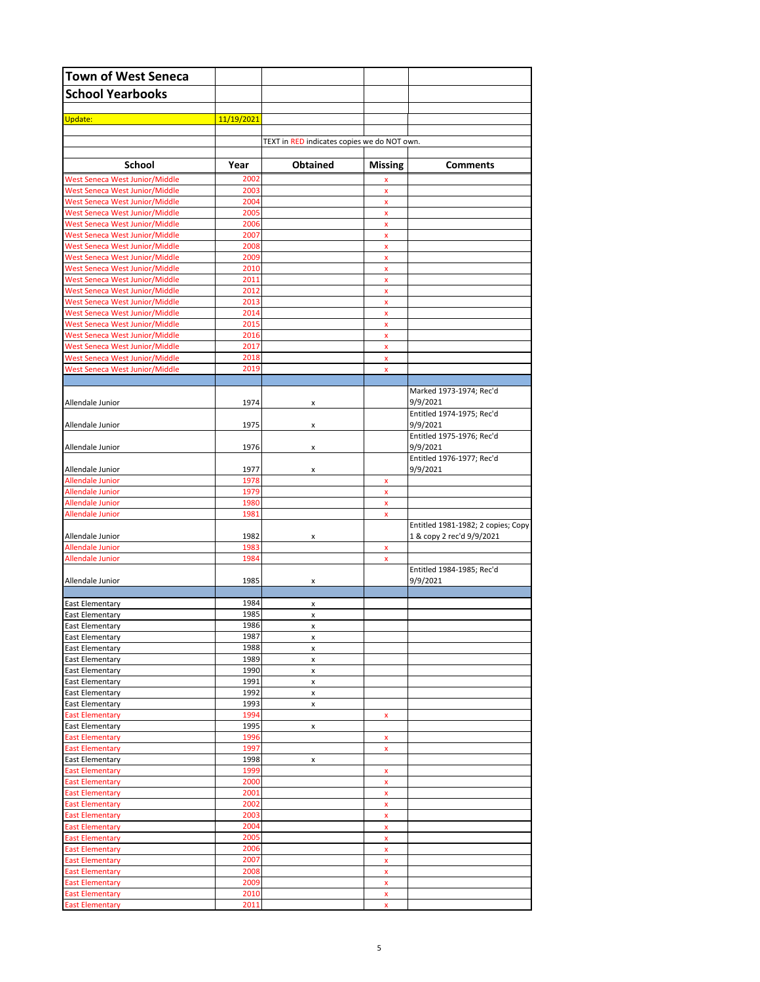| <b>Town of West Seneca</b>                                       |              |                                             |                         |                                       |
|------------------------------------------------------------------|--------------|---------------------------------------------|-------------------------|---------------------------------------|
| <b>School Yearbooks</b>                                          |              |                                             |                         |                                       |
|                                                                  |              |                                             |                         |                                       |
| Update:                                                          | 11/19/2021   |                                             |                         |                                       |
|                                                                  |              |                                             |                         |                                       |
|                                                                  |              | TEXT in RED indicates copies we do NOT own. |                         |                                       |
| School                                                           | Year         | <b>Obtained</b>                             | <b>Missing</b>          | <b>Comments</b>                       |
| West Seneca West Junior/Middle                                   | 2002         |                                             | X                       |                                       |
| West Seneca West Junior/Middle                                   | 2003         |                                             | $\mathbf x$             |                                       |
| West Seneca West Junior/Middle<br>West Seneca West Junior/Middle | 2004<br>2005 |                                             | $\pmb{\mathsf{x}}$<br>x |                                       |
| West Seneca West Junior/Middle                                   | 2006         |                                             | $\pmb{\mathsf{x}}$      |                                       |
| West Seneca West Junior/Middle                                   | 2007         |                                             | x                       |                                       |
| West Seneca West Junior/Middle                                   | 2008         |                                             | $\pmb{\mathsf{x}}$      |                                       |
| West Seneca West Junior/Middle                                   | 2009         |                                             | x                       |                                       |
| West Seneca West Junior/Middle<br>West Seneca West Junior/Middle | 2010<br>2011 |                                             | $\pmb{\mathsf{x}}$<br>x |                                       |
| West Seneca West Junior/Middle                                   | 2012         |                                             | $\pmb{\mathsf{x}}$      |                                       |
| West Seneca West Junior/Middle                                   | 2013         |                                             | x                       |                                       |
| West Seneca West Junior/Middle                                   | 2014         |                                             | $\pmb{\mathsf{x}}$      |                                       |
| West Seneca West Junior/Middle                                   | 2015         |                                             | x                       |                                       |
| West Seneca West Junior/Middle                                   | 2016         |                                             | $\pmb{\mathsf{x}}$      |                                       |
| West Seneca West Junior/Middle<br>West Seneca West Junior/Middle | 2017<br>2018 |                                             | x<br>$\pmb{\mathsf{x}}$ |                                       |
| West Seneca West Junior/Middle                                   | 2019         |                                             | x                       |                                       |
|                                                                  |              |                                             |                         |                                       |
|                                                                  |              |                                             |                         | Marked 1973-1974; Rec'd               |
| Allendale Junior                                                 | 1974         | x                                           |                         | 9/9/2021<br>Entitled 1974-1975; Rec'd |
| Allendale Junior                                                 | 1975         | x                                           |                         | 9/9/2021                              |
|                                                                  |              |                                             |                         | Entitled 1975-1976; Rec'd             |
| Allendale Junior                                                 | 1976         | x                                           |                         | 9/9/2021                              |
|                                                                  |              |                                             |                         | Entitled 1976-1977; Rec'd             |
| Allendale Junior<br><b>Allendale Junior</b>                      | 1977<br>1978 | x                                           | x                       | 9/9/2021                              |
| <b>Allendale Junior</b>                                          | 1979         |                                             | $\pmb{\mathsf{x}}$      |                                       |
| <b>Allendale Junior</b>                                          | 1980         |                                             | x                       |                                       |
| <b>Allendale Junior</b>                                          | 1981         |                                             | $\pmb{\mathsf{x}}$      |                                       |
|                                                                  |              |                                             |                         | Entitled 1981-1982; 2 copies; Copy    |
| Allendale Junior<br><b>Allendale Junior</b>                      | 1982<br>1983 | x                                           |                         | 1 & copy 2 rec'd 9/9/2021             |
| <b>Allendale Junior</b>                                          | 1984         |                                             | x<br>$\pmb{\mathsf{x}}$ |                                       |
|                                                                  |              |                                             |                         | Entitled 1984-1985; Rec'd             |
| Allendale Junior                                                 | 1985         | x                                           |                         | 9/9/2021                              |
| <b>East Elementary</b>                                           | 1984         | x                                           |                         |                                       |
| <b>East Elementary</b>                                           | 1985         | x                                           |                         |                                       |
| East Elementary                                                  | 1986         | x                                           |                         |                                       |
| <b>East Elementary</b>                                           | 1987         | x                                           |                         |                                       |
| <b>East Elementary</b><br><b>East Elementary</b>                 | 1988<br>1989 | x                                           |                         |                                       |
| <b>East Elementary</b>                                           | 1990         | x<br>x                                      |                         |                                       |
| East Elementary                                                  | 1991         | x                                           |                         |                                       |
| <b>East Elementary</b>                                           | 1992         | x                                           |                         |                                       |
| <b>East Elementary</b>                                           | 1993         | x                                           |                         |                                       |
| <b>East Elementary</b>                                           | 1994         |                                             | x                       |                                       |
| East Elementary<br><b>East Elementary</b>                        | 1995<br>1996 | x                                           | x                       |                                       |
| <b>East Elementary</b>                                           | 1997         |                                             | x                       |                                       |
| <b>East Elementary</b>                                           | 1998         | x                                           |                         |                                       |
| <b>East Elementary</b>                                           | 1999         |                                             | x                       |                                       |
| <b>East Elementary</b>                                           | 2000         |                                             | x                       |                                       |
| <b>East Elementary</b><br><b>East Elementary</b>                 | 2001<br>2002 |                                             | x<br>x                  |                                       |
| <b>East Elementary</b>                                           | 2003         |                                             | x                       |                                       |
| <b>East Elementary</b>                                           | 2004         |                                             | x                       |                                       |
| <b>East Elementary</b>                                           | 2005         |                                             | x                       |                                       |
| <b>East Elementary</b>                                           | 2006         |                                             | x                       |                                       |
| <b>East Elementary</b>                                           | 2007         |                                             | x                       |                                       |
| <b>East Elementary</b><br><b>East Elementary</b>                 | 2008<br>2009 |                                             | x<br>x                  |                                       |
| <b>East Elementary</b>                                           | 2010         |                                             | x                       |                                       |
| <b>East Elementary</b>                                           | 2011         |                                             | x                       |                                       |